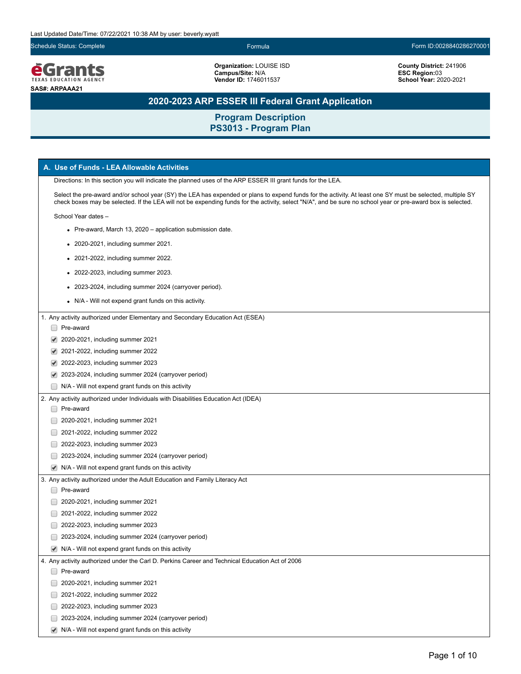Schedule Status: Complete Formula Form ID:0028840286270001



**Organization:** LOUISE ISD **Campus/Site:** N/A **Vendor ID:** 1746011537

**County District:** 241906 **ESC Region:**03 **School Year:** 2020-2021

# **2020-2023 ARP ESSER III Federal Grant Application**

| A. Use of Funds - LEA Allowable Activities                                                                                                                                                                                                                                                                                 |
|----------------------------------------------------------------------------------------------------------------------------------------------------------------------------------------------------------------------------------------------------------------------------------------------------------------------------|
| Directions: In this section you will indicate the planned uses of the ARP ESSER III grant funds for the LEA.                                                                                                                                                                                                               |
| Select the pre-award and/or school year (SY) the LEA has expended or plans to expend funds for the activity. At least one SY must be selected, multiple SY<br>check boxes may be selected. If the LEA will not be expending funds for the activity, select "N/A", and be sure no school year or pre-award box is selected. |
| School Year dates -                                                                                                                                                                                                                                                                                                        |
| • Pre-award, March 13, 2020 – application submission date.                                                                                                                                                                                                                                                                 |
| • 2020-2021, including summer 2021.                                                                                                                                                                                                                                                                                        |
| • 2021-2022, including summer 2022.                                                                                                                                                                                                                                                                                        |
| • 2022-2023, including summer 2023.                                                                                                                                                                                                                                                                                        |
| • 2023-2024, including summer 2024 (carryover period).                                                                                                                                                                                                                                                                     |
| • N/A - Will not expend grant funds on this activity.                                                                                                                                                                                                                                                                      |
| 1. Any activity authorized under Elementary and Secondary Education Act (ESEA)                                                                                                                                                                                                                                             |
| Pre-award                                                                                                                                                                                                                                                                                                                  |
| 2020-2021, including summer 2021<br>✔                                                                                                                                                                                                                                                                                      |
| 2021-2022, including summer 2022                                                                                                                                                                                                                                                                                           |
| 2022-2023, including summer 2023<br>✔                                                                                                                                                                                                                                                                                      |
| 2023-2024, including summer 2024 (carryover period)<br>$\blacktriangledown$                                                                                                                                                                                                                                                |
| N/A - Will not expend grant funds on this activity                                                                                                                                                                                                                                                                         |
| 2. Any activity authorized under Individuals with Disabilities Education Act (IDEA)                                                                                                                                                                                                                                        |
| Pre-award                                                                                                                                                                                                                                                                                                                  |
| 2020-2021, including summer 2021                                                                                                                                                                                                                                                                                           |
| 2021-2022, including summer 2022                                                                                                                                                                                                                                                                                           |
| 2022-2023, including summer 2023                                                                                                                                                                                                                                                                                           |
| 2023-2024, including summer 2024 (carryover period)                                                                                                                                                                                                                                                                        |
| N/A - Will not expend grant funds on this activity<br>$\blacktriangledown$                                                                                                                                                                                                                                                 |
| 3. Any activity authorized under the Adult Education and Family Literacy Act                                                                                                                                                                                                                                               |
| Pre-award                                                                                                                                                                                                                                                                                                                  |
| 2020-2021, including summer 2021                                                                                                                                                                                                                                                                                           |
| 2021-2022, including summer 2022                                                                                                                                                                                                                                                                                           |
| 2022-2023, including summer 2023                                                                                                                                                                                                                                                                                           |
| 2023-2024, including summer 2024 (carryover period)                                                                                                                                                                                                                                                                        |
| $\blacktriangleright$ N/A - Will not expend grant funds on this activity                                                                                                                                                                                                                                                   |
| 4. Any activity authorized under the Carl D. Perkins Career and Technical Education Act of 2006                                                                                                                                                                                                                            |
| Pre-award<br>$\Box$                                                                                                                                                                                                                                                                                                        |
| 2020-2021, including summer 2021                                                                                                                                                                                                                                                                                           |
| 2021-2022, including summer 2022                                                                                                                                                                                                                                                                                           |
| 2022-2023, including summer 2023                                                                                                                                                                                                                                                                                           |
| 2023-2024, including summer 2024 (carryover period)                                                                                                                                                                                                                                                                        |
| N/A - Will not expend grant funds on this activity                                                                                                                                                                                                                                                                         |
| $\blacktriangledown$                                                                                                                                                                                                                                                                                                       |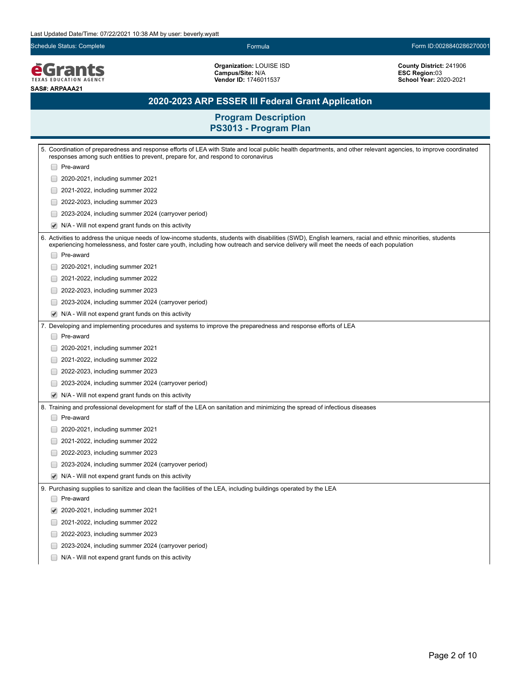Schedule Status: Complete Formula Form ID:0028840286270001

*<u>EGrants</u>* **SAS#: ARPAAA21**

**Organization:** LOUISE ISD **Campus/Site:** N/A **Vendor ID:** 1746011537

**County District:** 241906 **ESC Region:**03 **School Year:** 2020-2021

# **2020-2023 ARP ESSER III Federal Grant Application**

| 5. Coordination of preparedness and response efforts of LEA with State and local public health departments, and other relevant agencies, to improve coordinated                                                                                                                                      |  |
|------------------------------------------------------------------------------------------------------------------------------------------------------------------------------------------------------------------------------------------------------------------------------------------------------|--|
| responses among such entities to prevent, prepare for, and respond to coronavirus                                                                                                                                                                                                                    |  |
| Pre-award                                                                                                                                                                                                                                                                                            |  |
| 2020-2021, including summer 2021                                                                                                                                                                                                                                                                     |  |
| 2021-2022, including summer 2022                                                                                                                                                                                                                                                                     |  |
| 2022-2023, including summer 2023                                                                                                                                                                                                                                                                     |  |
| 2023-2024, including summer 2024 (carryover period)                                                                                                                                                                                                                                                  |  |
| N/A - Will not expend grant funds on this activity                                                                                                                                                                                                                                                   |  |
| 6. Activities to address the unique needs of low-income students, students with disabilities (SWD), English learners, racial and ethnic minorities, students<br>experiencing homelessness, and foster care youth, including how outreach and service delivery will meet the needs of each population |  |
| Pre-award                                                                                                                                                                                                                                                                                            |  |
| 2020-2021, including summer 2021                                                                                                                                                                                                                                                                     |  |
| 2021-2022, including summer 2022                                                                                                                                                                                                                                                                     |  |
| 2022-2023, including summer 2023                                                                                                                                                                                                                                                                     |  |
| 2023-2024, including summer 2024 (carryover period)                                                                                                                                                                                                                                                  |  |
| N/A - Will not expend grant funds on this activity<br>$\blacktriangledown$                                                                                                                                                                                                                           |  |
| 7. Developing and implementing procedures and systems to improve the preparedness and response efforts of LEA                                                                                                                                                                                        |  |
| Pre-award                                                                                                                                                                                                                                                                                            |  |
| 2020-2021, including summer 2021                                                                                                                                                                                                                                                                     |  |
| 2021-2022, including summer 2022                                                                                                                                                                                                                                                                     |  |
| 2022-2023, including summer 2023                                                                                                                                                                                                                                                                     |  |
| 2023-2024, including summer 2024 (carryover period)                                                                                                                                                                                                                                                  |  |
| N/A - Will not expend grant funds on this activity<br>✔                                                                                                                                                                                                                                              |  |
| 8. Training and professional development for staff of the LEA on sanitation and minimizing the spread of infectious diseases                                                                                                                                                                         |  |
| Pre-award                                                                                                                                                                                                                                                                                            |  |
| 2020-2021, including summer 2021                                                                                                                                                                                                                                                                     |  |
| 2021-2022, including summer 2022                                                                                                                                                                                                                                                                     |  |
| 2022-2023, including summer 2023                                                                                                                                                                                                                                                                     |  |
| 2023-2024, including summer 2024 (carryover period)                                                                                                                                                                                                                                                  |  |
| N/A - Will not expend grant funds on this activity<br>✔                                                                                                                                                                                                                                              |  |
| 9. Purchasing supplies to sanitize and clean the facilities of the LEA, including buildings operated by the LEA                                                                                                                                                                                      |  |
| Pre-award                                                                                                                                                                                                                                                                                            |  |
| 2020-2021, including summer 2021                                                                                                                                                                                                                                                                     |  |
| 2021-2022, including summer 2022                                                                                                                                                                                                                                                                     |  |
| 2022-2023, including summer 2023                                                                                                                                                                                                                                                                     |  |
| 2023-2024, including summer 2024 (carryover period)                                                                                                                                                                                                                                                  |  |
| N/A - Will not expend grant funds on this activity                                                                                                                                                                                                                                                   |  |
|                                                                                                                                                                                                                                                                                                      |  |
|                                                                                                                                                                                                                                                                                                      |  |
|                                                                                                                                                                                                                                                                                                      |  |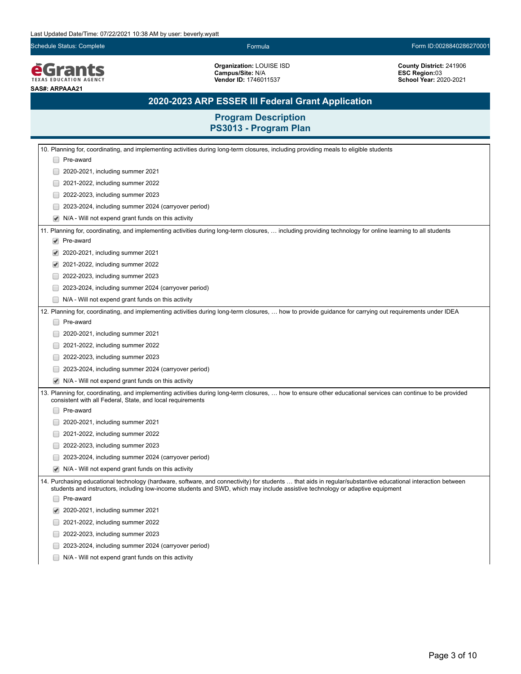Schedule Status: Complete Formula Form ID:0028840286270001

*<u>EGrants</u>* **SAS#: ARPAAA21**

**Organization:** LOUISE ISD **Campus/Site:** N/A **Vendor ID:** 1746011537

**County District:** 241906 **ESC Region:**03 **School Year:** 2020-2021

# **2020-2023 ARP ESSER III Federal Grant Application**

| 10. Planning for, coordinating, and implementing activities during long-term closures, including providing meals to eligible students                                                                                                                                                        |
|----------------------------------------------------------------------------------------------------------------------------------------------------------------------------------------------------------------------------------------------------------------------------------------------|
| Pre-award                                                                                                                                                                                                                                                                                    |
| 2020-2021, including summer 2021                                                                                                                                                                                                                                                             |
| 2021-2022, including summer 2022                                                                                                                                                                                                                                                             |
| 2022-2023, including summer 2023                                                                                                                                                                                                                                                             |
| 2023-2024, including summer 2024 (carryover period)                                                                                                                                                                                                                                          |
| N/A - Will not expend grant funds on this activity                                                                                                                                                                                                                                           |
| 11. Planning for, coordinating, and implementing activities during long-term closures,  including providing technology for online learning to all students                                                                                                                                   |
| Pre-award                                                                                                                                                                                                                                                                                    |
| 2020-2021, including summer 2021                                                                                                                                                                                                                                                             |
| 2021-2022, including summer 2022                                                                                                                                                                                                                                                             |
| 2022-2023, including summer 2023                                                                                                                                                                                                                                                             |
| 2023-2024, including summer 2024 (carryover period)                                                                                                                                                                                                                                          |
| N/A - Will not expend grant funds on this activity                                                                                                                                                                                                                                           |
| 12. Planning for, coordinating, and implementing activities during long-term closures,  how to provide guidance for carrying out requirements under IDEA                                                                                                                                     |
| □ Pre-award                                                                                                                                                                                                                                                                                  |
| 2020-2021, including summer 2021                                                                                                                                                                                                                                                             |
| 2021-2022, including summer 2022                                                                                                                                                                                                                                                             |
| 2022-2023, including summer 2023                                                                                                                                                                                                                                                             |
| 2023-2024, including summer 2024 (carryover period)                                                                                                                                                                                                                                          |
| N/A - Will not expend grant funds on this activity                                                                                                                                                                                                                                           |
| 13. Planning for, coordinating, and implementing activities during long-term closures,  how to ensure other educational services can continue to be provided<br>consistent with all Federal, State, and local requirements                                                                   |
| Pre-award                                                                                                                                                                                                                                                                                    |
| 2020-2021, including summer 2021                                                                                                                                                                                                                                                             |
| 2021-2022, including summer 2022                                                                                                                                                                                                                                                             |
| 2022-2023, including summer 2023                                                                                                                                                                                                                                                             |
| 2023-2024, including summer 2024 (carryover period)                                                                                                                                                                                                                                          |
| N/A - Will not expend grant funds on this activity                                                                                                                                                                                                                                           |
| 14. Purchasing educational technology (hardware, software, and connectivity) for students  that aids in regular/substantive educational interaction between<br>students and instructors, including low-income students and SWD, which may include assistive technology or adaptive equipment |
| Pre-award                                                                                                                                                                                                                                                                                    |
| 2020-2021, including summer 2021                                                                                                                                                                                                                                                             |
| 2021-2022, including summer 2022                                                                                                                                                                                                                                                             |
| 2022-2023, including summer 2023                                                                                                                                                                                                                                                             |
| 2023-2024, including summer 2024 (carryover period)                                                                                                                                                                                                                                          |
| N/A - Will not expend grant funds on this activity                                                                                                                                                                                                                                           |
|                                                                                                                                                                                                                                                                                              |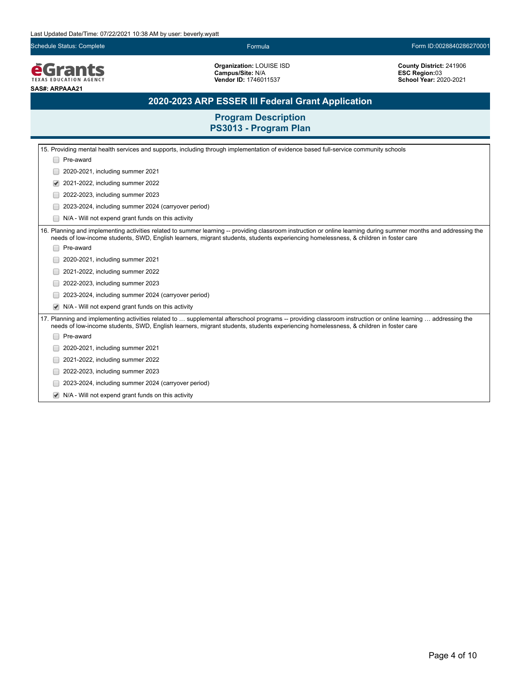Schedule Status: Complete Formula Form ID:0028840286270001

**EGrants SAS#: ARPAAA21**

**Organization:** LOUISE ISD **Campus/Site:** N/A **Vendor ID:** 1746011537

**County District:** 241906 **ESC Region:**03 **School Year:** 2020-2021

# **2020-2023 ARP ESSER III Federal Grant Application**

| 15. Providing mental health services and supports, including through implementation of evidence based full-service community schools                                                                                                                                                                      |  |  |
|-----------------------------------------------------------------------------------------------------------------------------------------------------------------------------------------------------------------------------------------------------------------------------------------------------------|--|--|
| Pre-award                                                                                                                                                                                                                                                                                                 |  |  |
| 2020-2021, including summer 2021                                                                                                                                                                                                                                                                          |  |  |
| 2021-2022, including summer 2022                                                                                                                                                                                                                                                                          |  |  |
| 2022-2023, including summer 2023                                                                                                                                                                                                                                                                          |  |  |
| 2023-2024, including summer 2024 (carryover period)                                                                                                                                                                                                                                                       |  |  |
| N/A - Will not expend grant funds on this activity                                                                                                                                                                                                                                                        |  |  |
| 16. Planning and implementing activities related to summer learning -- providing classroom instruction or online learning during summer months and addressing the<br>needs of low-income students, SWD, English learners, migrant students, students experiencing homelessness, & children in foster care |  |  |
| Pre-award                                                                                                                                                                                                                                                                                                 |  |  |
| 2020-2021, including summer 2021                                                                                                                                                                                                                                                                          |  |  |
| 2021-2022, including summer 2022                                                                                                                                                                                                                                                                          |  |  |
| 2022-2023, including summer 2023                                                                                                                                                                                                                                                                          |  |  |
| 2023-2024, including summer 2024 (carryover period)                                                                                                                                                                                                                                                       |  |  |
| N/A - Will not expend grant funds on this activity                                                                                                                                                                                                                                                        |  |  |
| 17. Planning and implementing activities related to  supplemental afterschool programs -- providing classroom instruction or online learning  addressing the<br>needs of low-income students, SWD, English learners, migrant students, students experiencing homelessness, & children in foster care      |  |  |
| Pre-award                                                                                                                                                                                                                                                                                                 |  |  |
| 2020-2021, including summer 2021                                                                                                                                                                                                                                                                          |  |  |
| 2021-2022, including summer 2022                                                                                                                                                                                                                                                                          |  |  |
| 2022-2023, including summer 2023                                                                                                                                                                                                                                                                          |  |  |
| 2023-2024, including summer 2024 (carryover period)                                                                                                                                                                                                                                                       |  |  |
| N/A - Will not expend grant funds on this activity                                                                                                                                                                                                                                                        |  |  |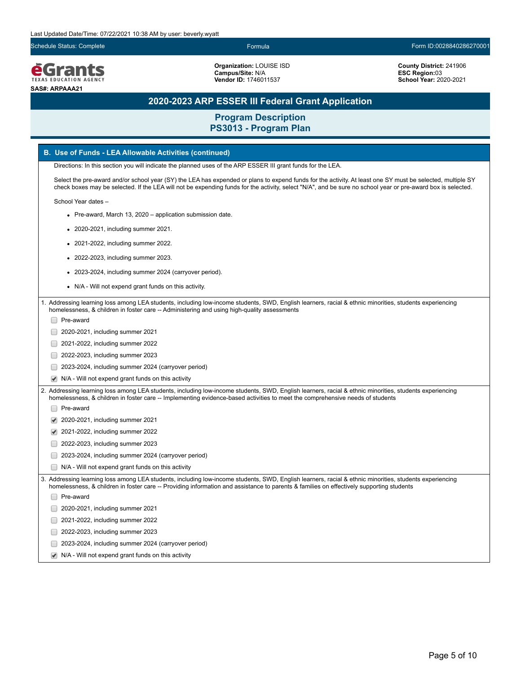Schedule Status: Complete Formula Form ID:0028840286270001

*<u>EGrants</u>* **SAS#: ARPAAA21**

**Organization:** LOUISE ISD **Campus/Site:** N/A **Vendor ID:** 1746011537

**County District:** 241906 **ESC Region:**03 **School Year:** 2020-2021

# **2020-2023 ARP ESSER III Federal Grant Application**

# **Program Description**

|                       | PS3013 - Program Plan                                                                                                                                                                                                                                                                                                      |  |  |  |  |
|-----------------------|----------------------------------------------------------------------------------------------------------------------------------------------------------------------------------------------------------------------------------------------------------------------------------------------------------------------------|--|--|--|--|
|                       | B. Use of Funds - LEA Allowable Activities (continued)                                                                                                                                                                                                                                                                     |  |  |  |  |
|                       | Directions: In this section you will indicate the planned uses of the ARP ESSER III grant funds for the LEA.                                                                                                                                                                                                               |  |  |  |  |
|                       | Select the pre-award and/or school year (SY) the LEA has expended or plans to expend funds for the activity. At least one SY must be selected, multiple SY<br>check boxes may be selected. If the LEA will not be expending funds for the activity, select "N/A", and be sure no school year or pre-award box is selected. |  |  |  |  |
|                       | School Year dates -                                                                                                                                                                                                                                                                                                        |  |  |  |  |
|                       | • Pre-award, March 13, 2020 – application submission date.                                                                                                                                                                                                                                                                 |  |  |  |  |
|                       | 2020-2021, including summer 2021.                                                                                                                                                                                                                                                                                          |  |  |  |  |
|                       | 2021-2022, including summer 2022.                                                                                                                                                                                                                                                                                          |  |  |  |  |
|                       | 2022-2023, including summer 2023.                                                                                                                                                                                                                                                                                          |  |  |  |  |
|                       | 2023-2024, including summer 2024 (carryover period).                                                                                                                                                                                                                                                                       |  |  |  |  |
|                       | N/A - Will not expend grant funds on this activity.                                                                                                                                                                                                                                                                        |  |  |  |  |
|                       | 1. Addressing learning loss among LEA students, including low-income students, SWD, English learners, racial & ethnic minorities, students experiencing<br>homelessness, & children in foster care -- Administering and using high-quality assessments                                                                     |  |  |  |  |
|                       | Pre-award                                                                                                                                                                                                                                                                                                                  |  |  |  |  |
|                       | 2020-2021, including summer 2021                                                                                                                                                                                                                                                                                           |  |  |  |  |
|                       | 2021-2022, including summer 2022                                                                                                                                                                                                                                                                                           |  |  |  |  |
|                       | 2022-2023, including summer 2023                                                                                                                                                                                                                                                                                           |  |  |  |  |
|                       | 2023-2024, including summer 2024 (carryover period)                                                                                                                                                                                                                                                                        |  |  |  |  |
| $\blacktriangleright$ | N/A - Will not expend grant funds on this activity                                                                                                                                                                                                                                                                         |  |  |  |  |
|                       | Addressing learning loss among LEA students, including low-income students, SWD, English learners, racial & ethnic minorities, students experiencing                                                                                                                                                                       |  |  |  |  |
|                       | homelessness, & children in foster care -- Implementing evidence-based activities to meet the comprehensive needs of students<br>Pre-award                                                                                                                                                                                 |  |  |  |  |
|                       | 2020-2021, including summer 2021                                                                                                                                                                                                                                                                                           |  |  |  |  |
|                       | 2021-2022, including summer 2022                                                                                                                                                                                                                                                                                           |  |  |  |  |
|                       | 2022-2023, including summer 2023                                                                                                                                                                                                                                                                                           |  |  |  |  |
|                       | 2023-2024, including summer 2024 (carryover period)                                                                                                                                                                                                                                                                        |  |  |  |  |
|                       | N/A - Will not expend grant funds on this activity                                                                                                                                                                                                                                                                         |  |  |  |  |
|                       | 3. Addressing learning loss among LEA students, including low-income students, SWD, English learners, racial & ethnic minorities, students experiencing                                                                                                                                                                    |  |  |  |  |
|                       | homelessness, & children in foster care -- Providing information and assistance to parents & families on effectively supporting students                                                                                                                                                                                   |  |  |  |  |
|                       | Pre-award                                                                                                                                                                                                                                                                                                                  |  |  |  |  |
|                       | 2020-2021, including summer 2021                                                                                                                                                                                                                                                                                           |  |  |  |  |
|                       | 2021-2022, including summer 2022                                                                                                                                                                                                                                                                                           |  |  |  |  |
|                       | 2022-2023, including summer 2023                                                                                                                                                                                                                                                                                           |  |  |  |  |
|                       | 2023-2024, including summer 2024 (carryover period)                                                                                                                                                                                                                                                                        |  |  |  |  |
|                       | N/A - Will not expend grant funds on this activity                                                                                                                                                                                                                                                                         |  |  |  |  |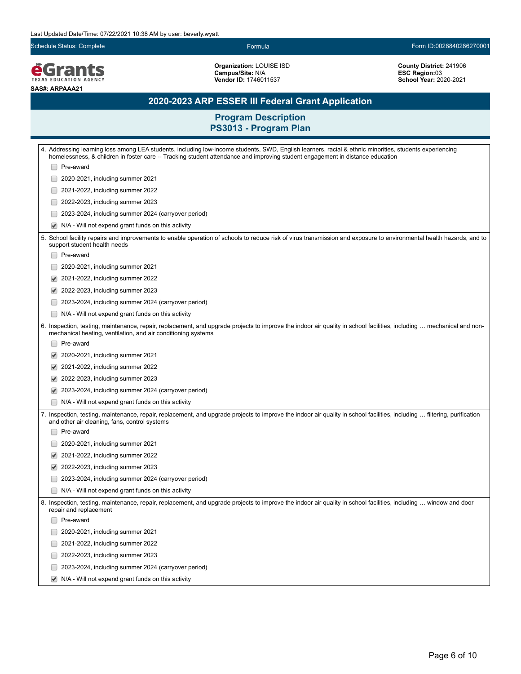Schedule Status: Complete Formula Form ID:0028840286270001

*<u>EGrants</u>* **SAS#: ARPAAA21**

**Organization:** LOUISE ISD **Campus/Site:** N/A **Vendor ID:** 1746011537

**County District:** 241906 **ESC Region:**03 **School Year:** 2020-2021

# **2020-2023 ARP ESSER III Federal Grant Application**

| 4. Addressing learning loss among LEA students, including low-income students, SWD, English learners, racial & ethnic minorities, students experiencing<br>homelessness, & children in foster care -- Tracking student attendance and improving student engagement in distance education |  |  |
|------------------------------------------------------------------------------------------------------------------------------------------------------------------------------------------------------------------------------------------------------------------------------------------|--|--|
| Pre-award                                                                                                                                                                                                                                                                                |  |  |
| 2020-2021, including summer 2021                                                                                                                                                                                                                                                         |  |  |
| 2021-2022, including summer 2022                                                                                                                                                                                                                                                         |  |  |
| 2022-2023, including summer 2023                                                                                                                                                                                                                                                         |  |  |
| 2023-2024, including summer 2024 (carryover period)                                                                                                                                                                                                                                      |  |  |
| N/A - Will not expend grant funds on this activity<br>$\blacktriangledown$                                                                                                                                                                                                               |  |  |
| 5. School facility repairs and improvements to enable operation of schools to reduce risk of virus transmission and exposure to environmental health hazards, and to<br>support student health needs                                                                                     |  |  |
| Pre-award                                                                                                                                                                                                                                                                                |  |  |
| 2020-2021, including summer 2021                                                                                                                                                                                                                                                         |  |  |
| 2021-2022, including summer 2022                                                                                                                                                                                                                                                         |  |  |
| 2022-2023, including summer 2023                                                                                                                                                                                                                                                         |  |  |
| 2023-2024, including summer 2024 (carryover period)                                                                                                                                                                                                                                      |  |  |
| N/A - Will not expend grant funds on this activity                                                                                                                                                                                                                                       |  |  |
| 6. Inspection, testing, maintenance, repair, replacement, and upgrade projects to improve the indoor air quality in school facilities, including  mechanical and non-<br>mechanical heating, ventilation, and air conditioning systems                                                   |  |  |
| Pre-award                                                                                                                                                                                                                                                                                |  |  |
| 2020-2021, including summer 2021                                                                                                                                                                                                                                                         |  |  |
| 2021-2022, including summer 2022<br>✔                                                                                                                                                                                                                                                    |  |  |
| 2022-2023, including summer 2023                                                                                                                                                                                                                                                         |  |  |
| 2023-2024, including summer 2024 (carryover period)                                                                                                                                                                                                                                      |  |  |
| N/A - Will not expend grant funds on this activity                                                                                                                                                                                                                                       |  |  |
| 7. Inspection, testing, maintenance, repair, replacement, and upgrade projects to improve the indoor air quality in school facilities, including  filtering, purification<br>and other air cleaning, fans, control systems                                                               |  |  |
| Pre-award                                                                                                                                                                                                                                                                                |  |  |
| 2020-2021, including summer 2021                                                                                                                                                                                                                                                         |  |  |
| 2021-2022, including summer 2022                                                                                                                                                                                                                                                         |  |  |
| 2022-2023, including summer 2023                                                                                                                                                                                                                                                         |  |  |
| 2023-2024, including summer 2024 (carryover period)                                                                                                                                                                                                                                      |  |  |
| N/A - Will not expend grant funds on this activity                                                                                                                                                                                                                                       |  |  |
| 8. Inspection, testing, maintenance, repair, replacement, and upgrade projects to improve the indoor air quality in school facilities, including  window and door<br>repair and replacement                                                                                              |  |  |
| Pre-award                                                                                                                                                                                                                                                                                |  |  |
| 2020-2021, including summer 2021                                                                                                                                                                                                                                                         |  |  |
| 2021-2022, including summer 2022                                                                                                                                                                                                                                                         |  |  |
| 2022-2023, including summer 2023                                                                                                                                                                                                                                                         |  |  |
| 2023-2024, including summer 2024 (carryover period)                                                                                                                                                                                                                                      |  |  |
| N/A - Will not expend grant funds on this activity                                                                                                                                                                                                                                       |  |  |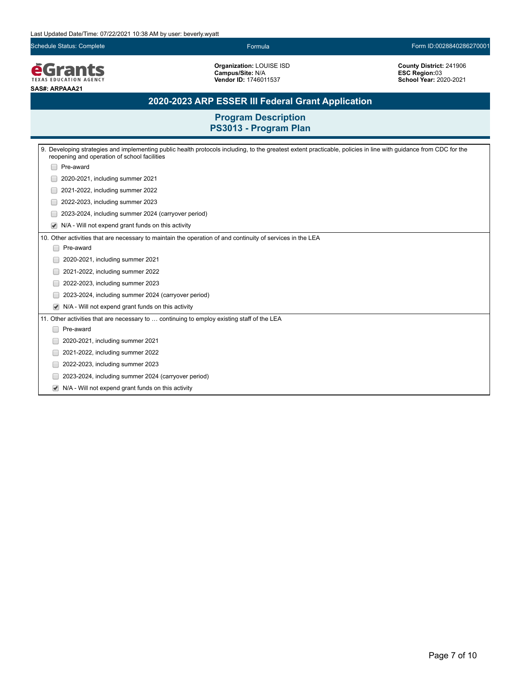Schedule Status: Complete Formula Form ID:0028840286270001

**EGrants SAS#: ARPAAA21**

**Organization:** LOUISE ISD **Campus/Site:** N/A **Vendor ID:** 1746011537

**County District:** 241906 **ESC Region:**03 **School Year:** 2020-2021

# **2020-2023 ARP ESSER III Federal Grant Application**

| 9. Developing strategies and implementing public health protocols including, to the greatest extent practicable, policies in line with guidance from CDC for the<br>reopening and operation of school facilities |  |  |
|------------------------------------------------------------------------------------------------------------------------------------------------------------------------------------------------------------------|--|--|
| Pre-award                                                                                                                                                                                                        |  |  |
| 2020-2021, including summer 2021                                                                                                                                                                                 |  |  |
| 2021-2022, including summer 2022                                                                                                                                                                                 |  |  |
| 2022-2023, including summer 2023                                                                                                                                                                                 |  |  |
| 2023-2024, including summer 2024 (carryover period)                                                                                                                                                              |  |  |
| N/A - Will not expend grant funds on this activity<br>$\blacktriangledown$                                                                                                                                       |  |  |
| 10. Other activities that are necessary to maintain the operation of and continuity of services in the LEA                                                                                                       |  |  |
| Pre-award<br>H                                                                                                                                                                                                   |  |  |
| 2020-2021, including summer 2021                                                                                                                                                                                 |  |  |
| 2021-2022, including summer 2022                                                                                                                                                                                 |  |  |
| 2022-2023, including summer 2023                                                                                                                                                                                 |  |  |
| 2023-2024, including summer 2024 (carryover period)                                                                                                                                                              |  |  |
| N/A - Will not expend grant funds on this activity                                                                                                                                                               |  |  |
| 11. Other activities that are necessary to  continuing to employ existing staff of the LEA                                                                                                                       |  |  |
| Pre-award                                                                                                                                                                                                        |  |  |
| 2020-2021, including summer 2021                                                                                                                                                                                 |  |  |
| 2021-2022, including summer 2022                                                                                                                                                                                 |  |  |
| 2022-2023, including summer 2023                                                                                                                                                                                 |  |  |
| 2023-2024, including summer 2024 (carryover period)                                                                                                                                                              |  |  |
| N/A - Will not expend grant funds on this activity                                                                                                                                                               |  |  |
|                                                                                                                                                                                                                  |  |  |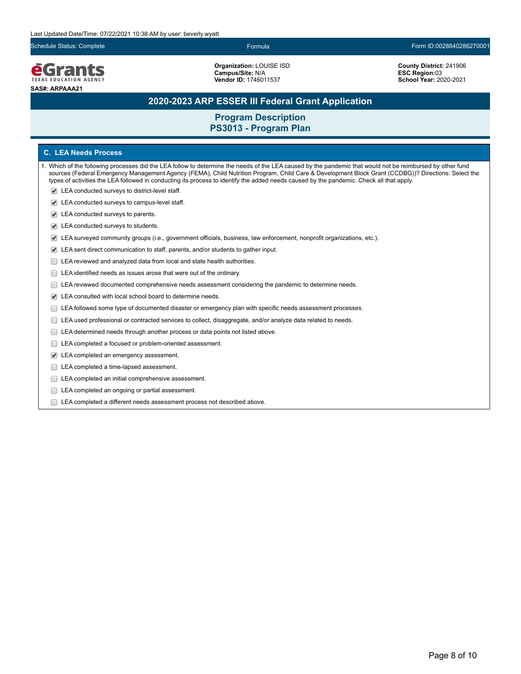#### **e**Grants **TEXAS EDUCATION AGENCY SAS#: ARPAAA21**

**Organization:** LOUISE ISD **Campus/Site:** N/A **Vendor ID:** 1746011537

**County District:** 241906 **ESC Region:**03 **School Year:** 2020-2021

# **2020-2023 ARP ESSER III Federal Grant Application**

### **Program Description PS3013 - Program Plan**

#### **C. LEA Needs Process**

- 1. Which of the following processes did the LEA follow to determine the needs of the LEA caused by the pandemic that would not be reimbursed by other fund sources (Federal Emergency Management Agency (FEMA), Child Nutrition Program, Child Care & Development Block Grant (CCDBG))? Directions: Select the types of activities the LEA followed in conducting its process to identify the added needs caused by the pandemic. Check all that apply.
	- LEA conducted surveys to district-level staff.
	- LEA conducted surveys to campus-level staff.
	- LEA conducted surveys to parents.
	- LEA conducted surveys to students.
	- LEA surveyed community groups (i.e., government officials, business, law enforcement, nonprofit organizations, etc.).
	- LEA sent direct communication to staff, parents, and/or students to gather input.
	- E LEA reviewed and analyzed data from local and state health authorities.
	- E LEA identified needs as issues arose that were out of the ordinary.
	- ELEA reviewed documented comprehensive needs assessment considering the pandemic to determine needs.
	- LEA consulted with local school board to determine needs.
	- LEA followed some type of documented disaster or emergency plan with specific needs assessment processes.
	- LEA used professional or contracted services to collect, disaggregate, and/or analyze data related to needs.
	- $\Box$ LEA determined needs through another process or data points not listed above.
	- LEA completed a focused or problem-oriented assessment.
	- LEA completed an emergency assessment.
	- LEA completed a time-lapsed assessment.
	- **LEA** completed an initial comprehensive assessment.
	- E LEA completed an ongoing or partial assessment.
	- LEA completed a different needs assessment process not described above.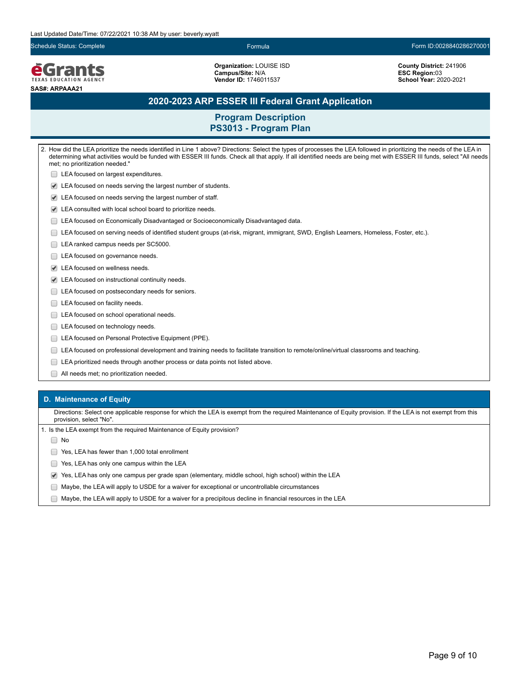Schedule Status: Complete Formula Form ID:0028840286270001

**e**Grants **TEXAS EDUCATION AGENCY SAS#: ARPAAA21**

**Organization:** LOUISE ISD **Campus/Site:** N/A **Vendor ID:** 1746011537

**County District:** 241906 **ESC Region:**03 **School Year:** 2020-2021

## **2020-2023 ARP ESSER III Federal Grant Application**

### **Program Description PS3013 - Program Plan**

2. How did the LEA prioritize the needs identified in Line 1 above? Directions: Select the types of processes the LEA followed in prioritizing the needs of the LEA in determining what activities would be funded with ESSER III funds. Check all that apply. If all identified needs are being met with ESSER III funds, select "All needs met; no prioritization needed." **LEA** focused on largest expenditures. LEA focused on needs serving the largest number of students. LEA focused on needs serving the largest number of staff. LEA consulted with local school board to prioritize needs. LEA focused on Economically Disadvantaged or Socioeconomically Disadvantaged data. LEA focused on serving needs of identified student groups (at-risk, migrant, immigrant, SWD, English Learners, Homeless, Foster, etc.). LEA ranked campus needs per SC5000. LEA focused on governance needs. LEA focused on wellness needs. LEA focused on instructional continuity needs. **LEA** focused on postsecondary needs for seniors. LEA focused on facility needs. **LEA** focused on school operational needs. LEA focused on technology needs. **LEA focused on Personal Protective Equipment (PPE).** LEA focused on professional development and training needs to facilitate transition to remote/online/virtual classrooms and teaching. LEA prioritized needs through another process or data points not listed above. All needs met; no prioritization needed.

#### **D. Maintenance of Equity**

Directions: Select one applicable response for which the LEA is exempt from the required Maintenance of Equity provision. If the LEA is not exempt from this provision, select "No".

1. Is the LEA exempt from the required Maintenance of Equity provision?

∩ No

◯ Yes, LEA has fewer than 1,000 total enrollment

- **The State State State State State State State State State State State State State State State State State State State State State State State State State State State State State State State State State State State State S**
- Yes, LEA has only one campus per grade span (elementary, middle school, high school) within the LEA
- Maybe, the LEA will apply to USDE for a waiver for exceptional or uncontrollable circumstances
- $\Box$  Maybe, the LEA will apply to USDE for a waiver for a precipitous decline in financial resources in the LEA